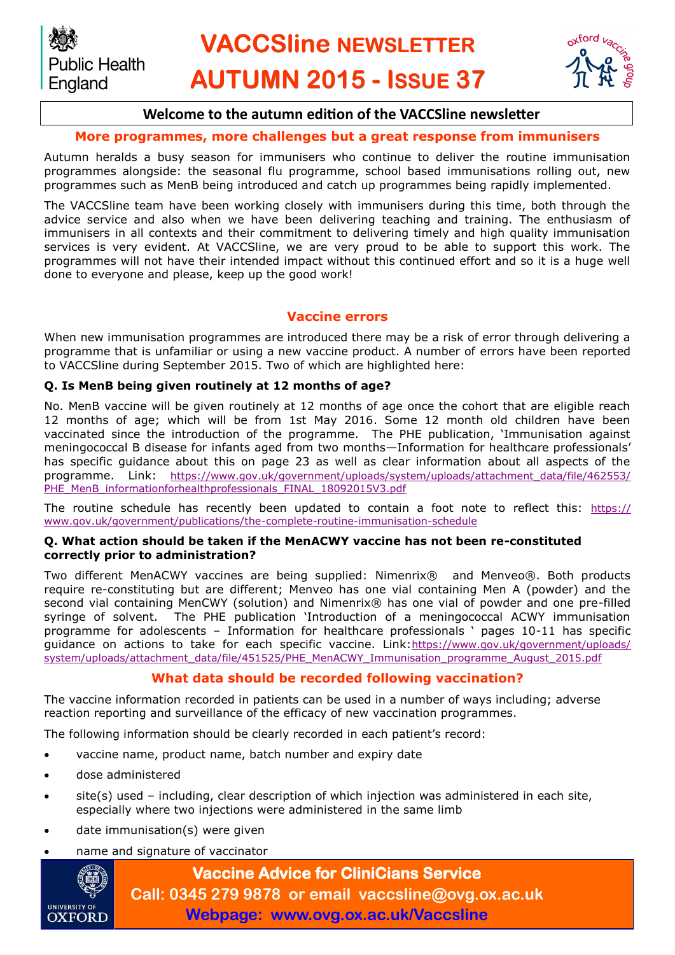

# **Welcome to the autumn edition of the VACCSline newsletter**

# **More programmes, more challenges but a great response from immunisers**

Autumn heralds a busy season for immunisers who continue to deliver the routine immunisation programmes alongside: the seasonal flu programme, school based immunisations rolling out, new programmes such as MenB being introduced and catch up programmes being rapidly implemented.

The VACCSline team have been working closely with immunisers during this time, both through the advice service and also when we have been delivering teaching and training. The enthusiasm of immunisers in all contexts and their commitment to delivering timely and high quality immunisation services is very evident. At VACCSline, we are very proud to be able to support this work. The programmes will not have their intended impact without this continued effort and so it is a huge well done to everyone and please, keep up the good work!

## **Vaccine errors**

When new immunisation programmes are introduced there may be a risk of error through delivering a programme that is unfamiliar or using a new vaccine product. A number of errors have been reported to VACCSline during September 2015. Two of which are highlighted here:

## **Q. Is MenB being given routinely at 12 months of age?**

No. MenB vaccine will be given routinely at 12 months of age once the cohort that are eligible reach 12 months of age; which will be from 1st May 2016. Some 12 month old children have been vaccinated since the introduction of the programme. The PHE publication, 'Immunisation against meningococcal B disease for infants aged from two months—Information for healthcare professionals' has specific guidance about this on page 23 as well as clear information about all aspects of the programme. Link: [https://www.gov.uk/government/uploads/system/uploads/attachment\\_data/file/462553/](https://www.gov.uk/government/uploads/system/uploads/attachment_data/file/462553/PHE_MenB_informationforhealthprofessionals_FINAL_18092015V3.pdf) [PHE\\_MenB\\_informationforhealthprofessionals\\_FINAL\\_18092015V3.pdf](https://www.gov.uk/government/uploads/system/uploads/attachment_data/file/462553/PHE_MenB_informationforhealthprofessionals_FINAL_18092015V3.pdf)

The routine schedule has recently been updated to contain a foot note to reflect this: [https://](https://www.gov.uk/government/publications/the-complete-routine-immunisation-scheduleC:/Users/sarah.lang/Documents/Bluetooth%20Exchange%20Folder) [www.gov.uk/government/publications/the-complete-routine-immunisation-schedule](https://www.gov.uk/government/publications/the-complete-routine-immunisation-scheduleC:/Users/sarah.lang/Documents/Bluetooth%20Exchange%20Folder)

#### **Q. What action should be taken if the MenACWY vaccine has not been re-constituted correctly prior to administration?**

Two different MenACWY vaccines are being supplied: Nimenrix® and Menveo®. Both products require re-constituting but are different; Menveo has one vial containing Men A (powder) and the second vial containing MenCWY (solution) and Nimenrix® has one vial of powder and one pre-filled syringe of solvent. The PHE publication 'Introduction of a meningococcal ACWY immunisation programme for adolescents – Information for healthcare professionals ' pages 10-11 has specific guidance on actions to take for each specific vaccine. Link: [https://www.gov.uk/government/uploads/](https://www.gov.uk/government/uploads/system/uploads/attachment_data/file/451525/PHE_MenACWY_Immunisation_programme_August_2015.pdfC:/Users/sarah.lang/Documents/Bluetooth%20Exchange%20Folder) [system/uploads/attachment\\_data/file/451525/PHE\\_MenACWY\\_Immunisation\\_programme\\_August\\_2015.pdf](https://www.gov.uk/government/uploads/system/uploads/attachment_data/file/451525/PHE_MenACWY_Immunisation_programme_August_2015.pdfC:/Users/sarah.lang/Documents/Bluetooth%20Exchange%20Folder)

## **What data should be recorded following vaccination?**

The vaccine information recorded in patients can be used in a number of ways including; adverse reaction reporting and surveillance of the efficacy of new vaccination programmes.

The following information should be clearly recorded in each patient's record:

- vaccine name, product name, batch number and expiry date
- dose administered
- site(s) used including, clear description of which injection was administered in each site, especially where two injections were administered in the same limb
- date immunisation(s) were given
- name and signature of vaccinator



**Vaccine Advice for CliniCians Service Call: 0345 279 9878 or email vaccsline@ovg.ox.ac.uk Webpage: www.ovg.ox.ac.uk/Vaccsline**